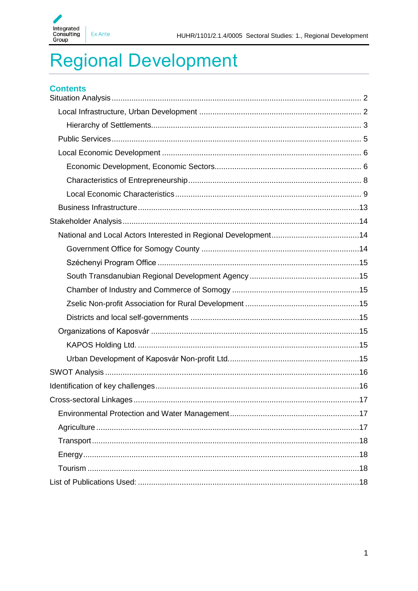

# **Regional Development**

| <b>Contents</b>               |  |
|-------------------------------|--|
|                               |  |
|                               |  |
|                               |  |
|                               |  |
|                               |  |
|                               |  |
|                               |  |
|                               |  |
|                               |  |
|                               |  |
|                               |  |
|                               |  |
|                               |  |
|                               |  |
|                               |  |
|                               |  |
|                               |  |
|                               |  |
|                               |  |
|                               |  |
|                               |  |
| Cross-sectoral Linkages<br>17 |  |
|                               |  |
|                               |  |
|                               |  |
|                               |  |
|                               |  |
|                               |  |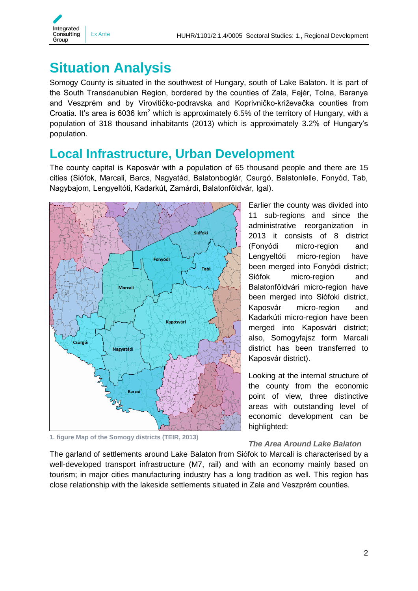

# <span id="page-1-0"></span>**Situation Analysis**

Somogy County is situated in the southwest of Hungary, south of Lake Balaton. It is part of the South Transdanubian Region, bordered by the counties of Zala, Fejér, Tolna, Baranya and Veszprém and by Virovitičko-podravska and Koprivničko-križevačka counties from Croatia. It's area is 6036 km<sup>2</sup> which is approximately 6.5% of the territory of Hungary, with a population of 318 thousand inhabitants (2013) which is approximately 3.2% of Hungary's population.

### <span id="page-1-1"></span>**Local Infrastructure, Urban Development**

The county capital is Kaposvár with a population of 65 thousand people and there are 15 cities (Siófok, Marcali, Barcs, Nagyatád, Balatonboglár, Csurgó, Balatonlelle, Fonyód, Tab, Nagybajom, Lengyeltóti, Kadarkút, Zamárdi, Balatonföldvár, Igal).



**1. figure Map of the Somogy districts (TEIR, 2013)**

Earlier the county was divided into 11 sub-regions and since the administrative reorganization in 2013 it consists of 8 district (Fonyódi micro-region and Lengyeltóti micro-region have been merged into Fonyódi district; Siófok micro-region and Balatonföldvári micro-region have been merged into Siófoki district, Kaposvár micro-region and Kadarkúti micro-region have been merged into Kaposvári district; also, Somogyfajsz form Marcali district has been transferred to Kaposvár district).

Looking at the internal structure of the county from the economic point of view, three distinctive areas with outstanding level of economic development can be highlighted:

### *The Area Around Lake Balaton*

The garland of settlements around Lake Balaton from Siófok to Marcali is characterised by a well-developed transport infrastructure (M7, rail) and with an economy mainly based on tourism; in major cities manufacturing industry has a long tradition as well. This region has close relationship with the lakeside settlements situated in Zala and Veszprém counties.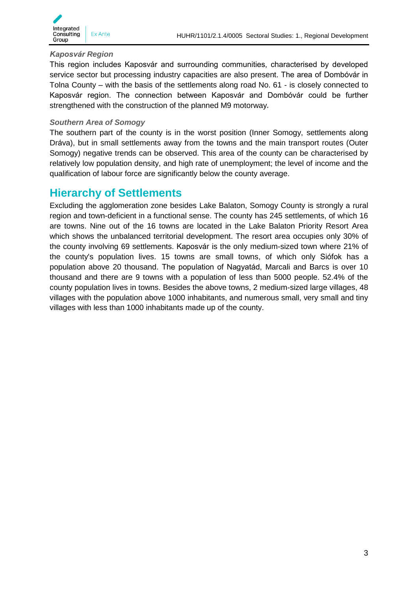

#### *Kaposvár Region*

This region includes Kaposvár and surrounding communities, characterised by developed service sector but processing industry capacities are also present. The area of Dombóvár in Tolna County – with the basis of the settlements along road No. 61 - is closely connected to Kaposvár region. The connection between Kaposvár and Dombóvár could be further strengthened with the construction of the planned M9 motorway*.*

#### *Southern Area of Somogy*

The southern part of the county is in the worst position (Inner Somogy, settlements along Dráva), but in small settlements away from the towns and the main transport routes (Outer Somogy) negative trends can be observed. This area of the county can be characterised by relatively low population density, and high rate of unemployment; the level of income and the qualification of labour force are significantly below the county average.

### <span id="page-2-0"></span>**Hierarchy of Settlements**

Excluding the agglomeration zone besides Lake Balaton, Somogy County is strongly a rural region and town-deficient in a functional sense. The county has 245 settlements, of which 16 are towns. Nine out of the 16 towns are located in the Lake Balaton Priority Resort Area which shows the unbalanced territorial development. The resort area occupies only 30% of the county involving 69 settlements. Kaposvár is the only medium-sized town where 21% of the county's population lives. 15 towns are small towns, of which only Siófok has a population above 20 thousand. The population of Nagyatád, Marcali and Barcs is over 10 thousand and there are 9 towns with a population of less than 5000 people. 52.4% of the county population lives in towns. Besides the above towns, 2 medium-sized large villages, 48 villages with the population above 1000 inhabitants, and numerous small, very small and tiny villages with less than 1000 inhabitants made up of the county.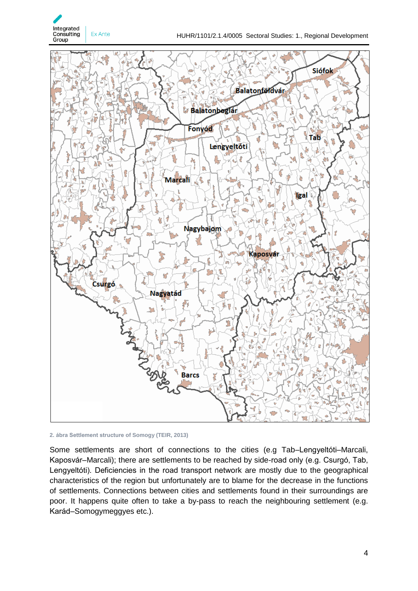





Some settlements are short of connections to the cities (e.g Tab–Lengyeltóti–Marcali, Kaposvár–Marcali); there are settlements to be reached by side-road only (e.g. Csurgó, Tab, Lengyeltóti). Deficiencies in the road transport network are mostly due to the geographical characteristics of the region but unfortunately are to blame for the decrease in the functions of settlements. Connections between cities and settlements found in their surroundings are poor. It happens quite often to take a by-pass to reach the neighbouring settlement (e.g. Karád–Somogymeggyes etc.).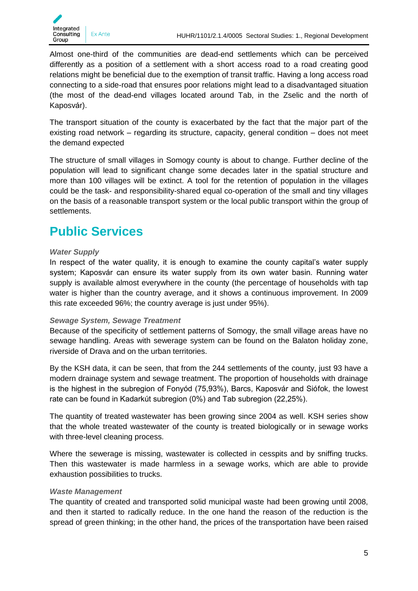Almost one-third of the communities are dead-end settlements which can be perceived differently as a position of a settlement with a short access road to a road creating good relations might be beneficial due to the exemption of transit traffic. Having a long access road connecting to a side-road that ensures poor relations might lead to a disadvantaged situation (the most of the dead-end villages located around Tab, in the Zselic and the north of Kaposvár).

The transport situation of the county is exacerbated by the fact that the major part of the existing road network – regarding its structure, capacity, general condition – does not meet the demand expected

The structure of small villages in Somogy county is about to change. Further decline of the population will lead to significant change some decades later in the spatial structure and more than 100 villages will be extinct. A tool for the retention of population in the villages could be the task- and responsibility-shared equal co-operation of the small and tiny villages on the basis of a reasonable transport system or the local public transport within the group of settlements.

# <span id="page-4-0"></span>**Public Services**

#### *Water Supply*

In respect of the water quality, it is enough to examine the county capital's water supply system; Kaposvár can ensure its water supply from its own water basin. Running water supply is available almost everywhere in the county (the percentage of households with tap water is higher than the country average, and it shows a continuous improvement. In 2009 this rate exceeded 96%; the country average is just under 95%).

#### *Sewage System, Sewage Treatment*

Because of the specificity of settlement patterns of Somogy, the small village areas have no sewage handling. Areas with sewerage system can be found on the Balaton holiday zone, riverside of Drava and on the urban territories.

By the KSH data, it can be seen, that from the 244 settlements of the county, just 93 have a modern drainage system and sewage treatment. The proportion of households with drainage is the highest in the subregion of Fonyód (75,93%), Barcs, Kaposvár and Siófok, the lowest rate can be found in Kadarkút subregion (0%) and Tab subregion (22,25%).

The quantity of treated wastewater has been growing since 2004 as well. KSH series show that the whole treated wastewater of the county is treated biologically or in sewage works with three-level cleaning process.

Where the sewerage is missing, wastewater is collected in cesspits and by sniffing trucks. Then this wastewater is made harmless in a sewage works, which are able to provide exhaustion possibilities to trucks.

#### *Waste Management*

The quantity of created and transported solid municipal waste had been growing until 2008, and then it started to radically reduce. In the one hand the reason of the reduction is the spread of green thinking; in the other hand, the prices of the transportation have been raised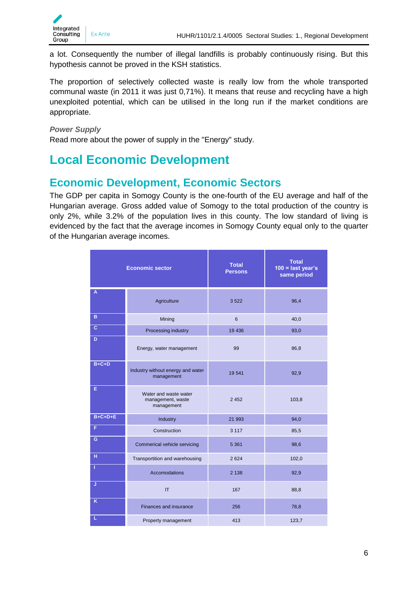

a lot. Consequently the number of illegal landfills is probably continuously rising. But this hypothesis cannot be proved in the KSH statistics.

The proportion of selectively collected waste is really low from the whole transported communal waste (in 2011 it was just 0,71%). It means that reuse and recycling have a high unexploited potential, which can be utilised in the long run if the market conditions are appropriate.

### *Power Supply*

Read more about the power of supply in the "Energy" study.

# <span id="page-5-0"></span>**Local Economic Development**

### <span id="page-5-1"></span>**Economic Development, Economic Sectors**

The GDP per capita in Somogy County is the one-fourth of the EU average and half of the Hungarian average. Gross added value of Somogy to the total production of the country is only 2%, while 3.2% of the population lives in this county. The low standard of living is evidenced by the fact that the average incomes in Somogy County equal only to the quarter of the Hungarian average incomes.

|           | <b>Economic sector</b>                                   | <b>Total</b><br><b>Persons</b> | <b>Total</b><br>$100 =$ last year's<br>same period |  |  |
|-----------|----------------------------------------------------------|--------------------------------|----------------------------------------------------|--|--|
| A         | Agriculture                                              | 3522                           | 96,4                                               |  |  |
| B         | Mining                                                   | 6                              | 40,0                                               |  |  |
| с         | Processing industry                                      | 19 4 36                        | 93,0                                               |  |  |
| D         | Energy, water management                                 | 99                             | 86,8                                               |  |  |
| $B+C+D$   | Industry without energy and water<br>management          | 19541                          | 92,9                                               |  |  |
| E         | Water and waste water<br>management, waste<br>management | 2 4 5 2                        | 103,8                                              |  |  |
| $B+C+D+E$ | Industry                                                 | 21 993                         | 94,0                                               |  |  |
| F         | Construction                                             | 3 1 1 7                        | 85,5                                               |  |  |
| G         | Commerical vehicle servicing                             | 5 3 6 1                        | 98,6                                               |  |  |
| H         | Transportition and warehousing                           | 2624                           | 102,0                                              |  |  |
| -1        | Accomodations                                            | 2 1 3 8                        | 92,9                                               |  |  |
| J         | IT                                                       | 167                            | 88,8                                               |  |  |
| K         | Finances and insurance                                   | 256                            | 78,8                                               |  |  |
| L         | Property management                                      | 413                            | 123,7                                              |  |  |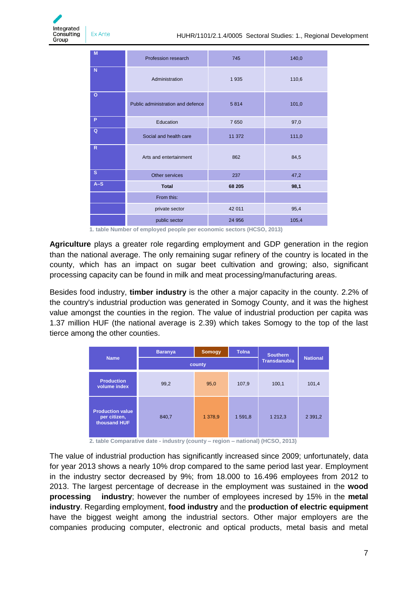

| M            | Profession research               | 745    | 140,0 |  |
|--------------|-----------------------------------|--------|-------|--|
| N            | Administration                    | 1935   | 110,6 |  |
| $\circ$      | Public administration and defence | 5814   | 101,0 |  |
| P            | Education                         | 7650   | 97,0  |  |
| Q            | Social and health care            | 11 372 | 111,0 |  |
| $\mathbb{R}$ | Arts and entertainment            | 862    | 84,5  |  |
| $\mathsf{s}$ | Other services                    | 237    | 47,2  |  |
| $A-S$        | <b>Total</b>                      | 68 205 | 98,1  |  |
|              | From this:                        |        |       |  |
|              | private sector                    | 42 011 | 95,4  |  |
|              | public sector                     | 24 956 | 105,4 |  |

**1. table Number of employed people per economic sectors (HCSO, 2013)**

**Agriculture** plays a greater role regarding employment and GDP generation in the region than the national average. The only remaining sugar refinery of the country is located in the county, which has an impact on sugar beet cultivation and growing; also, significant processing capacity can be found in milk and meat processing/manufacturing areas.

Besides food industry, **timber industry** is the other a major capacity in the county. 2.2% of the country's industrial production was generated in Somogy County, and it was the highest value amongst the counties in the region. The value of industrial production per capita was 1.37 million HUF (the national average is 2.39) which takes Somogy to the top of the last tierce among the other counties.

|                                                         | <b>Baranya</b> | <b>Somogy</b>       | <b>Tolna</b>    | <b>Southern</b> |             |
|---------------------------------------------------------|----------------|---------------------|-----------------|-----------------|-------------|
| <b>Name</b>                                             | county         | <b>Transdanubia</b> | <b>National</b> |                 |             |
| <b>Production</b><br>volume index                       | 99,2           | 95,0                | 107,9           | 100,1           | 101,4       |
| <b>Production value</b><br>per citizen,<br>thousand HUF | 840,7          | 1 378,9             | 1 591,8         | 1 2 1 2 , 3     | 2 3 9 1 , 2 |

**2. table Comparative date - industry (county – region – national) (HCSO, 2013)**

The value of industrial production has significantly increased since 2009; unfortunately, data for year 2013 shows a nearly 10% drop compared to the same period last year. Employment in the industry sector decreased by 9%; from 18.000 to 16.496 employees from 2012 to 2013. The largest percentage of decrease in the employment was sustained in the **wood processing industry**; however the number of employees incresed by 15% in the **metal industry**. Regarding employment, **food industry** and the **production of electric equipment** have the biggest weight among the industrial sectors. Other major employers are the companies producing computer, electronic and optical products, metal basis and metal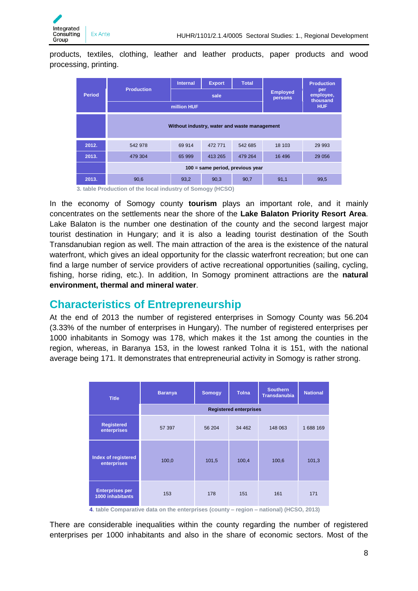products, textiles, clothing, leather and leather products, paper products and wood processing, printing.

|               |                                                             | <b>Internal</b>                              | <b>Export</b> | <b>Total</b> |                            | <b>Production</b><br>per<br>employee,<br>thousand |  |  |
|---------------|-------------------------------------------------------------|----------------------------------------------|---------------|--------------|----------------------------|---------------------------------------------------|--|--|
| <b>Period</b> | <b>Production</b>                                           |                                              | sale          |              | <b>Employed</b><br>persons |                                                   |  |  |
|               |                                                             | million HUF                                  |               |              |                            |                                                   |  |  |
|               |                                                             |                                              |               |              |                            |                                                   |  |  |
|               |                                                             | Without industry, water and waste management |               |              |                            |                                                   |  |  |
| 2012.         | 542 978                                                     | 69 914                                       | 472 771       | 542 685      | 18 103                     | 29 9 93                                           |  |  |
| 2013.         | 479 304                                                     | 65 999                                       | 413 265       | 479 264      | 16 49 6                    | 29 0 56                                           |  |  |
|               | 100 = same period, previous year                            |                                              |               |              |                            |                                                   |  |  |
| 2013.         | 90,6                                                        | 93,2                                         | 90,3          | 90,7         | 91,1                       | 99,5                                              |  |  |
|               | 2. Johns Deadmatics of the Lead inductive of Company (HCCO) |                                              |               |              |                            |                                                   |  |  |

**3. table Production of the local industry of Somogy (HCSO)**

In the economy of Somogy county **tourism** plays an important role, and it mainly concentrates on the settlements near the shore of the **Lake Balaton Priority Resort Area**. Lake Balaton is the number one destination of the county and the second largest major tourist destination in Hungary; and it is also a leading tourist destination of the South Transdanubian region as well. The main attraction of the area is the existence of the natural waterfront, which gives an ideal opportunity for the classic waterfront recreation; but one can find a large number of service providers of active recreational opportunities (sailing, cycling, fishing, horse riding, etc.). In addition, In Somogy prominent attractions are the **natural environment, thermal and mineral water**.

### <span id="page-7-0"></span>**Characteristics of Entrepreneurship**

At the end of 2013 the number of registered enterprises in Somogy County was 56.204 (3.33% of the number of enterprises in Hungary). The number of registered enterprises per 1000 inhabitants in Somogy was 178, which makes it the 1st among the counties in the region, whereas, in Baranya 153, in the lowest ranked Tolna it is 151, with the national average being 171. It demonstrates that entrepreneurial activity in Somogy is rather strong.

| <b>Title</b>                                      | <b>Baranya</b>                | Somogy | <b>Tolna</b> | <b>Southern</b><br><b>Transdanubia</b> | <b>National</b> |  |  |
|---------------------------------------------------|-------------------------------|--------|--------------|----------------------------------------|-----------------|--|--|
|                                                   | <b>Registered enterprises</b> |        |              |                                        |                 |  |  |
| <b>Registered</b><br>enterprises                  | 57 397                        | 56 204 | 34 4 62      | 148 063                                | 1688 169        |  |  |
| Index of registered<br>enterprises                | 100,0                         | 101,5  | 100,4        | 100,6                                  | 101,3           |  |  |
| <b>Enterprises per</b><br><b>1000 inhabitants</b> | 153                           | 178    | 151          | 161                                    | 171             |  |  |

**4. table Comparative data on the enterprises (county – region – national) (HCSO, 2013)**

There are considerable inequalities within the county regarding the number of registered enterprises per 1000 inhabitants and also in the share of economic sectors. Most of the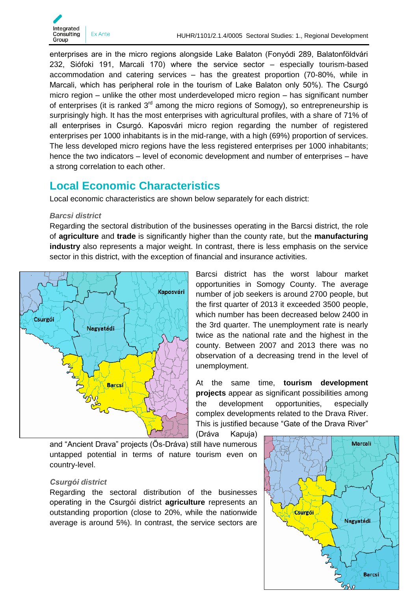

enterprises are in the micro regions alongside Lake Balaton (Fonyódi 289, Balatonföldvári 232, Siófoki 191, Marcali 170) where the service sector – especially tourism-based accommodation and catering services – has the greatest proportion (70-80%, while in Marcali, which has peripheral role in the tourism of Lake Balaton only 50%). The Csurgó micro region – unlike the other most underdeveloped micro region – has significant number of enterprises (it is ranked  $3<sup>rd</sup>$  among the micro regions of Somogy), so entrepreneurship is surprisingly high. It has the most enterprises with agricultural profiles, with a share of 71% of all enterprises in Csurgó. Kaposvári micro region regarding the number of registered enterprises per 1000 inhabitants is in the mid-range, with a high (69%) proportion of services. The less developed micro regions have the less registered enterprises per 1000 inhabitants; hence the two indicators – level of economic development and number of enterprises – have a strong correlation to each other.

### <span id="page-8-0"></span>**Local Economic Characteristics**

Local economic characteristics are shown below separately for each district:

#### *Barcsi district*

Regarding the sectoral distribution of the businesses operating in the Barcsi district, the role of **agriculture** and **trade** is significantly higher than the county rate, but the **manufacturing industry** also represents a major weight. In contrast, there is less emphasis on the service sector in this district, with the exception of financial and insurance activities.



Barcsi district has the worst labour market opportunities in Somogy County. The average number of job seekers is around 2700 people, but the first quarter of 2013 it exceeded 3500 people, which number has been decreased below 2400 in the 3rd quarter. The unemployment rate is nearly twice as the national rate and the highest in the county. Between 2007 and 2013 there was no observation of a decreasing trend in the level of unemployment.

At the same time, **tourism development projects** appear as significant possibilities among the development opportunities, especially complex developments related to the Drava River. This is justified because "Gate of the Drava River"

(Dráva Kapuja)

and "Ancient Drava" projects (Ős-Dráva) still have numerous untapped potential in terms of nature tourism even on country-level.

#### *Csurgói district*

Regarding the sectoral distribution of the businesses operating in the Csurgói district **agriculture** represents an outstanding proportion (close to 20%, while the nationwide average is around 5%). In contrast, the service sectors are

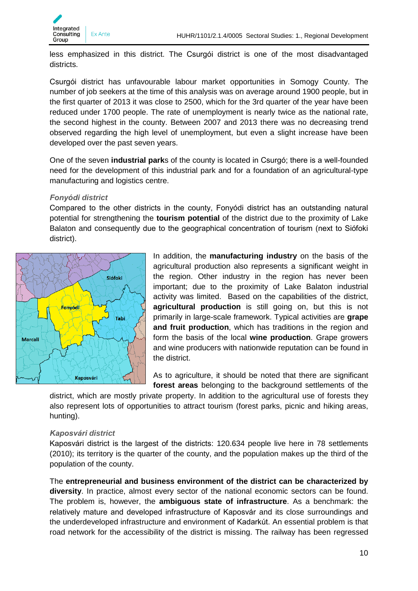

less emphasized in this district. The Csurgói district is one of the most disadvantaged districts.

Csurgói district has unfavourable labour market opportunities in Somogy County. The number of job seekers at the time of this analysis was on average around 1900 people, but in the first quarter of 2013 it was close to 2500, which for the 3rd quarter of the year have been reduced under 1700 people. The rate of unemployment is nearly twice as the national rate, the second highest in the county. Between 2007 and 2013 there was no decreasing trend observed regarding the high level of unemployment, but even a slight increase have been developed over the past seven years.

One of the seven **industrial park**s of the county is located in Csurgó; there is a well-founded need for the development of this industrial park and for a foundation of an agricultural-type manufacturing and logistics centre.

#### *Fonyódi district*

Compared to the other districts in the county, Fonyódi district has an outstanding natural potential for strengthening the **tourism potential** of the district due to the proximity of Lake Balaton and consequently due to the geographical concentration of tourism (next to Siófoki district).



In addition, the **manufacturing industry** on the basis of the agricultural production also represents a significant weight in the region. Other industry in the region has never been important; due to the proximity of Lake Balaton industrial activity was limited. Based on the capabilities of the district, **agricultural production** is still going on, but this is not primarily in large-scale framework. Typical activities are **grape and fruit production**, which has traditions in the region and form the basis of the local **wine production**. Grape growers and wine producers with nationwide reputation can be found in the district.

As to agriculture, it should be noted that there are significant **forest areas** belonging to the background settlements of the

district, which are mostly private property. In addition to the agricultural use of forests they also represent lots of opportunities to attract tourism (forest parks, picnic and hiking areas, hunting).

#### *Kaposvári district*

Kaposvári district is the largest of the districts: 120.634 people live here in 78 settlements (2010); its territory is the quarter of the county, and the population makes up the third of the population of the county.

The **entrepreneurial and business environment of the district can be characterized by diversity**. In practice, almost every sector of the national economic sectors can be found. The problem is, however, the **ambiguous state of infrastructure**. As a benchmark: the relatively mature and developed infrastructure of Kaposvár and its close surroundings and the underdeveloped infrastructure and environment of Kadarkút. An essential problem is that road network for the accessibility of the district is missing. The railway has been regressed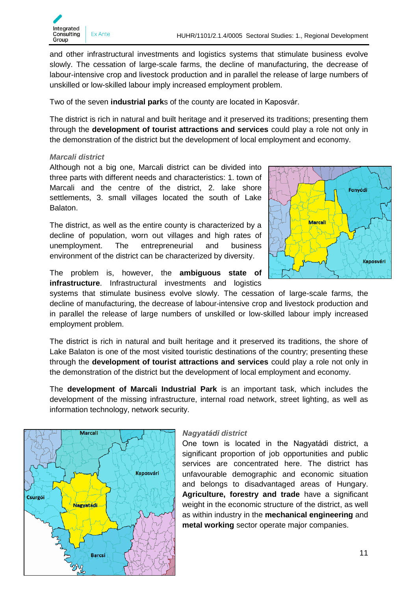

and other infrastructural investments and logistics systems that stimulate business evolve slowly. The cessation of large-scale farms, the decline of manufacturing, the decrease of labour-intensive crop and livestock production and in parallel the release of large numbers of unskilled or low-skilled labour imply increased employment problem.

Two of the seven **industrial park**s of the county are located in Kaposvár.

The district is rich in natural and built heritage and it preserved its traditions; presenting them through the **development of tourist attractions and services** could play a role not only in the demonstration of the district but the development of local employment and economy.

#### *Marcali district*

Although not a big one, Marcali district can be divided into three parts with different needs and characteristics: 1. town of Marcali and the centre of the district, 2. lake shore settlements, 3. small villages located the south of Lake Balaton.

The district, as well as the entire county is characterized by a decline of population, worn out villages and high rates of unemployment. The entrepreneurial and business environment of the district can be characterized by diversity.



The problem is, however, the **ambiguous state of infrastructure**. Infrastructural investments and logistics

systems that stimulate business evolve slowly. The cessation of large-scale farms, the decline of manufacturing, the decrease of labour-intensive crop and livestock production and in parallel the release of large numbers of unskilled or low-skilled labour imply increased employment problem.

The district is rich in natural and built heritage and it preserved its traditions, the shore of Lake Balaton is one of the most visited touristic destinations of the country; presenting these through the **development of tourist attractions and services** could play a role not only in the demonstration of the district but the development of local employment and economy.

The **development of Marcali Industrial Park** is an important task, which includes the development of the missing infrastructure, internal road network, street lighting, as well as information technology, network security.



#### *Nagyatádi district*

One town is located in the Nagyatádi district, a significant proportion of job opportunities and public services are concentrated here. The district has unfavourable demographic and economic situation and belongs to disadvantaged areas of Hungary. **Agriculture, forestry and trade** have a significant weight in the economic structure of the district, as well as within industry in the **mechanical engineering** and **metal working** sector operate major companies.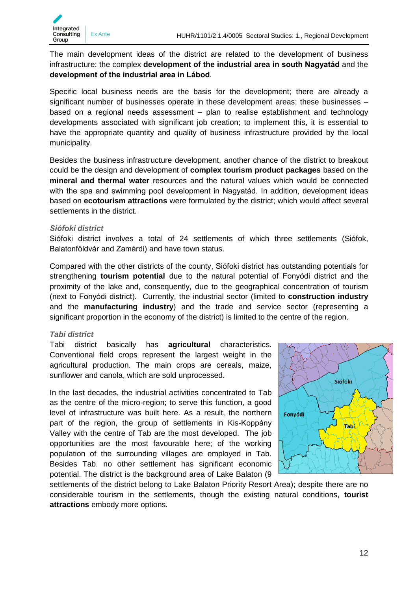

The main development ideas of the district are related to the development of business infrastructure: the complex **development of the industrial area in south Nagyatád** and the **development of the industrial area in Lábod**.

Specific local business needs are the basis for the development; there are already a significant number of businesses operate in these development areas; these businesses – based on a regional needs assessment – plan to realise establishment and technology developments associated with significant job creation; to implement this, it is essential to have the appropriate quantity and quality of business infrastructure provided by the local municipality.

Besides the business infrastructure development, another chance of the district to breakout could be the design and development of **complex tourism product packages** based on the **mineral and thermal water** resources and the natural values which would be connected with the spa and swimming pool development in Nagyatád. In addition, development ideas based on **ecotourism attractions** were formulated by the district; which would affect several settlements in the district.

#### *Siófoki district*

Siófoki district involves a total of 24 settlements of which three settlements (Siófok, Balatonföldvár and Zamárdi) and have town status.

Compared with the other districts of the county, Siófoki district has outstanding potentials for strengthening **tourism potential** due to the natural potential of Fonyódi district and the proximity of the lake and, consequently, due to the geographical concentration of tourism (next to Fonyódi district). Currently, the industrial sector (limited to **construction industry** and the **manufacturing industry**) and the trade and service sector (representing a significant proportion in the economy of the district) is limited to the centre of the region.

#### *Tabi district*

Tabi district basically has **agricultural** characteristics. Conventional field crops represent the largest weight in the agricultural production. The main crops are cereals, maize, sunflower and canola, which are sold unprocessed.

In the last decades, the industrial activities concentrated to Tab as the centre of the micro-region; to serve this function, a good level of infrastructure was built here. As a result, the northern part of the region, the group of settlements in Kis-Koppány Valley with the centre of Tab are the most developed. The job opportunities are the most favourable here; of the working population of the surrounding villages are employed in Tab. Besides Tab. no other settlement has significant economic potential. The district is the background area of Lake Balaton (9



settlements of the district belong to Lake Balaton Priority Resort Area); despite there are no considerable tourism in the settlements, though the existing natural conditions, **tourist attractions** embody more options.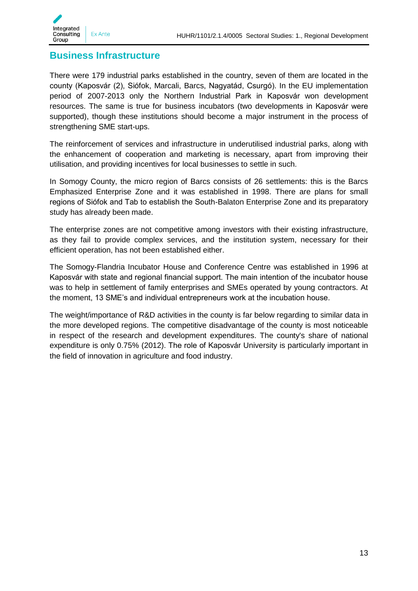

### <span id="page-12-0"></span>**Business Infrastructure**

There were 179 industrial parks established in the country, seven of them are located in the county (Kaposvár (2), Siófok, Marcali, Barcs, Nagyatád, Csurgó). In the EU implementation period of 2007-2013 only the Northern Industrial Park in Kaposvár won development resources. The same is true for business incubators (two developments in Kaposvár were supported), though these institutions should become a major instrument in the process of strengthening SME start-ups.

The reinforcement of services and infrastructure in underutilised industrial parks, along with the enhancement of cooperation and marketing is necessary, apart from improving their utilisation, and providing incentives for local businesses to settle in such.

In Somogy County, the micro region of Barcs consists of 26 settlements: this is the Barcs Emphasized Enterprise Zone and it was established in 1998. There are plans for small regions of Siófok and Tab to establish the South-Balaton Enterprise Zone and its preparatory study has already been made.

The enterprise zones are not competitive among investors with their existing infrastructure, as they fail to provide complex services, and the institution system, necessary for their efficient operation, has not been established either.

The Somogy-Flandria Incubator House and Conference Centre was established in 1996 at Kaposvár with state and regional financial support. The main intention of the incubator house was to help in settlement of family enterprises and SMEs operated by young contractors. At the moment, 13 SME's and individual entrepreneurs work at the incubation house.

The weight/importance of R&D activities in the county is far below regarding to similar data in the more developed regions. The competitive disadvantage of the county is most noticeable in respect of the research and development expenditures. The county's share of national expenditure is only 0.75% (2012). The role of Kaposvár University is particularly important in the field of innovation in agriculture and food industry.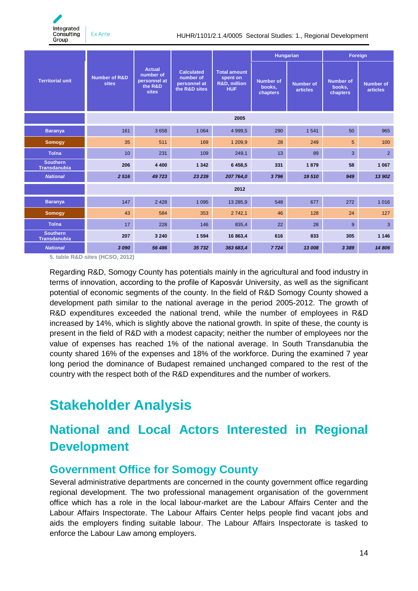Integrated **Consulting** Group

Ex Ante

HUHR/1101/2.1.4/0005 Sectoral Studies: 1., Regional Development

|                                        |                                   |                                                                       |                                                                 | <b>Hungarian</b>                                                         |                                        | Foreign                      |                                        |                              |
|----------------------------------------|-----------------------------------|-----------------------------------------------------------------------|-----------------------------------------------------------------|--------------------------------------------------------------------------|----------------------------------------|------------------------------|----------------------------------------|------------------------------|
| <b>Territorial unit</b>                | <b>Number of R&amp;D</b><br>sites | <b>Actual</b><br>number of<br>personnel at<br>the R&D<br><b>sites</b> | <b>Calculated</b><br>number of<br>personnel at<br>the R&D sites | <b>Total amount</b><br>spent on<br><b>R&amp;D, million</b><br><b>HUF</b> | <b>Number of</b><br>books,<br>chapters | <b>Number of</b><br>articles | <b>Number of</b><br>books,<br>chapters | <b>Number of</b><br>articles |
|                                        | 2005                              |                                                                       |                                                                 |                                                                          |                                        |                              |                                        |                              |
| <b>Baranya</b>                         | 161                               | 3658                                                                  | 1 0 6 4                                                         | 4 9 9 9.5                                                                | 290                                    | 1 5 4 1                      | 50                                     | 965                          |
| <b>Somogy</b>                          | 35                                | 511                                                                   | 169                                                             | 1 209,9                                                                  | 28                                     | 249                          | 5                                      | 100                          |
| <b>Tolna</b>                           | 10                                | 231                                                                   | 109                                                             | 249,1                                                                    | 13                                     | 89                           | 3                                      | $\overline{2}$               |
| <b>Southern</b><br><b>Transdanubia</b> | 206                               | 4 4 0 0                                                               | 1 3 4 2                                                         | 6 4 5 8 , 5                                                              | 331                                    | 1879                         | 58                                     | 1 0 6 7                      |
| <b>National</b>                        | 2516                              | 49 723                                                                | 23 239                                                          | 207 764,0                                                                | 3796                                   | 19510                        | 949                                    | 13 902                       |
|                                        | 2012                              |                                                                       |                                                                 |                                                                          |                                        |                              |                                        |                              |
| <b>Baranya</b>                         | 147                               | 2 4 2 8                                                               | 1 0 9 5                                                         | 13 285,9                                                                 | 548                                    | 677                          | 272                                    | 1016                         |
| <b>Somogy</b>                          | 43                                | 584                                                                   | 353                                                             | 2 7 4 2, 1                                                               | 46                                     | 128                          | 24                                     | 127                          |
| <b>Tolna</b>                           | 17                                | 228                                                                   | 146                                                             | 835,4                                                                    | 22                                     | 28                           | 9                                      | 3                            |
| <b>Southern</b><br><b>Transdanubia</b> | 207                               | 3 2 4 0                                                               | 1594                                                            | 16 863,4                                                                 | 616                                    | 833                          | 305                                    | 1 1 4 6                      |
| <b>National</b>                        | 3090                              | 56 486                                                                | 35 732                                                          | 363 683,4                                                                | 7 7 2 4                                | 13 008                       | 3 3 8 9                                | 14 806                       |

**5. table R&D sites (HCSO, 2012)**

Regarding R&D, Somogy County has potentials mainly in the agricultural and food industry in terms of innovation, according to the profile of Kaposvár University, as well as the significant potential of economic segments of the county. In the field of R&D Somogy County showed a development path similar to the national average in the period 2005-2012. The growth of R&D expenditures exceeded the national trend, while the number of employees in R&D increased by 14%, which is slightly above the national growth. In spite of these, the county is present in the field of R&D with a modest capacity; neither the number of employees nor the value of expenses has reached 1% of the national average. In South Transdanubia the county shared 16% of the expenses and 18% of the workforce. During the examined 7 year long period the dominance of Budapest remained unchanged compared to the rest of the country with the respect both of the R&D expenditures and the number of workers.

# <span id="page-13-0"></span>**Stakeholder Analysis**

# <span id="page-13-1"></span>**National and Local Actors Interested in Regional Development**

### <span id="page-13-2"></span>**Government Office for Somogy County**

Several administrative departments are concerned in the county government office regarding regional development. The two professional management organisation of the government office which has a role in the local labour-market are the Labour Affairs Center and the Labour Affairs Inspectorate. The Labour Affairs Center helps people find vacant jobs and aids the employers finding suitable labour. The Labour Affairs Inspectorate is tasked to enforce the Labour Law among employers.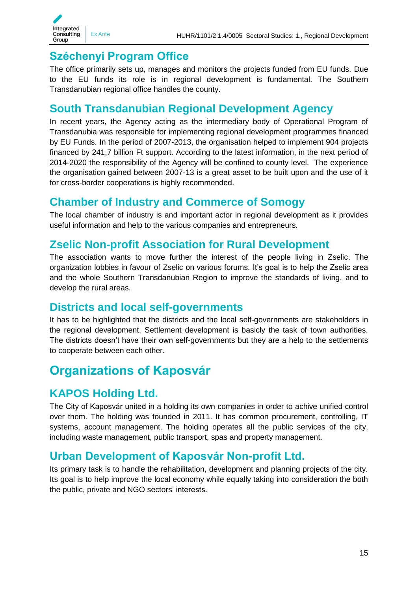

### <span id="page-14-0"></span>**Széchenyi Program Office**

The office primarily sets up, manages and monitors the projects funded from EU funds. Due to the EU funds its role is in regional development is fundamental. The Southern Transdanubian regional office handles the county.

### <span id="page-14-1"></span>**South Transdanubian Regional Development Agency**

In recent years, the Agency acting as the intermediary body of Operational Program of Transdanubia was responsible for implementing regional development programmes financed by EU Funds. In the period of 2007-2013, the organisation helped to implement 904 projects financed by 241,7 billion Ft support. According to the latest information, in the next period of 2014-2020 the responsibility of the Agency will be confined to county level. The experience the organisation gained between 2007-13 is a great asset to be built upon and the use of it for cross-border cooperations is highly recommended.

### <span id="page-14-2"></span>**Chamber of Industry and Commerce of Somogy**

The local chamber of industry is and important actor in regional development as it provides useful information and help to the various companies and entrepreneurs.

### <span id="page-14-3"></span>**Zselic Non-profit Association for Rural Development**

The association wants to move further the interest of the people living in Zselic. The organization lobbies in favour of Zselic on various forums. It's goal is to help the Zselic area and the whole Southern Transdanubian Region to improve the standards of living, and to develop the rural areas.

### <span id="page-14-4"></span>**Districts and local self-governments**

It has to be highlighted that the districts and the local self-governments are stakeholders in the regional development. Settlement development is basicly the task of town authorities. The districts doesn't have their own self-governments but they are a help to the settlements to cooperate between each other.

# <span id="page-14-5"></span>**Organizations of Kaposvár**

### <span id="page-14-6"></span>**KAPOS Holding Ltd.**

The City of Kaposvár united in a holding its own companies in order to achive unified control over them. The holding was founded in 2011. It has common procurement, controlling, IT systems, account management. The holding operates all the public services of the city, including waste management, public transport, spas and property management.

### <span id="page-14-7"></span>**Urban Development of Kaposvár Non-profit Ltd.**

Its primary task is to handle the rehabilitation, development and planning projects of the city. Its goal is to help improve the local economy while equally taking into consideration the both the public, private and NGO sectors' interests.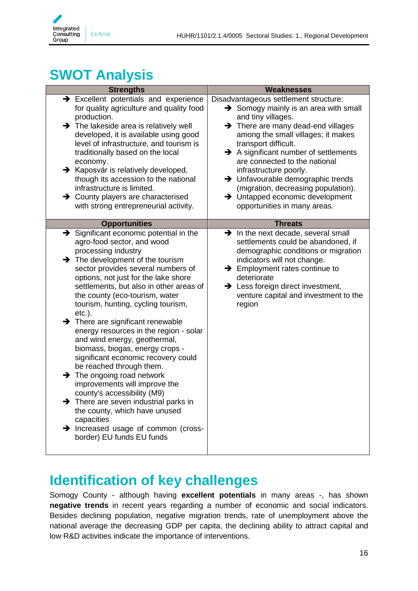

# <span id="page-15-0"></span>**SWOT Analysis**

| <b>Strengths</b>                                                                                                                                                                                                                                                                                                                                                                                                                                                                                                                                                                                                                                                                                                                                                                                                                                                                          | <b>Weaknesses</b>                                                                                                                                                                                                                                                                                                                                                                                                                                                                                           |
|-------------------------------------------------------------------------------------------------------------------------------------------------------------------------------------------------------------------------------------------------------------------------------------------------------------------------------------------------------------------------------------------------------------------------------------------------------------------------------------------------------------------------------------------------------------------------------------------------------------------------------------------------------------------------------------------------------------------------------------------------------------------------------------------------------------------------------------------------------------------------------------------|-------------------------------------------------------------------------------------------------------------------------------------------------------------------------------------------------------------------------------------------------------------------------------------------------------------------------------------------------------------------------------------------------------------------------------------------------------------------------------------------------------------|
| $\rightarrow$ Excellent potentials and experience<br>for quality agriculture and quality food<br>production.<br>$\rightarrow$ The lakeside area is relatively well<br>developed, it is available using good<br>level of infrastructure, and tourism is<br>traditionally based on the local<br>economy.<br>→ Kaposvár is relatively developed,<br>though its accession to the national<br>infrastructure is limited.<br>> County players are characterised<br>with strong entrepreneurial activity.                                                                                                                                                                                                                                                                                                                                                                                        | Disadvantageous settlement structure:<br>$\rightarrow$ Somogy mainly is an area with small<br>and tiny villages.<br>$\rightarrow$ There are many dead-end villages<br>among the small villages; it makes<br>transport difficult.<br>$\rightarrow$ A significant number of settlements<br>are connected to the national<br>infrastructure poorly.<br>> Unfavourable demographic trends<br>(migration, decreasing population).<br>$\rightarrow$ Untapped economic development<br>opportunities in many areas. |
| <b>Opportunities</b>                                                                                                                                                                                                                                                                                                                                                                                                                                                                                                                                                                                                                                                                                                                                                                                                                                                                      | <b>Threats</b>                                                                                                                                                                                                                                                                                                                                                                                                                                                                                              |
| $\rightarrow$ Significant economic potential in the<br>agro-food sector, and wood<br>processing industry<br>$\rightarrow$ The development of the tourism<br>sector provides several numbers of<br>options, not just for the lake shore<br>settlements, but also in other areas of<br>the county (eco-tourism, water<br>tourism, hunting, cycling tourism,<br>$etc.$ ).<br>$\rightarrow$ There are significant renewable<br>energy resources in the region - solar<br>and wind energy, geothermal,<br>biomass, biogas, energy crops -<br>significant economic recovery could<br>be reached through them.<br>$\rightarrow$ The ongoing road network<br>improvements will improve the<br>county's accessibility (M9)<br>$\rightarrow$ There are seven industrial parks in<br>the county, which have unused<br>capacities<br>> Increased usage of common (cross-<br>border) EU funds EU funds | $\rightarrow$ In the next decade, several small<br>settlements could be abandoned, if<br>demographic conditions or migration<br>indicators will not change.<br>$\rightarrow$ Employment rates continue to<br>deteriorate<br>$\rightarrow$ Less foreign direct investment,<br>venture capital and investment to the<br>region                                                                                                                                                                                |

# <span id="page-15-1"></span>**Identification of key challenges**

Somogy County - although having **excellent potentials** in many areas -, has shown **negative trends** in recent years regarding a number of economic and social indicators. Besides declining population, negative migration trends, rate of unemployment above the national average the decreasing GDP per capita, the declining ability to attract capital and low R&D activities indicate the importance of interventions.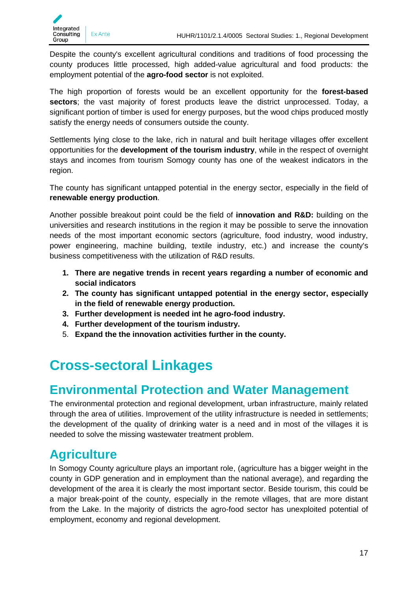

Despite the county's excellent agricultural conditions and traditions of food processing the county produces little processed, high added-value agricultural and food products: the employment potential of the **agro-food sector** is not exploited.

The high proportion of forests would be an excellent opportunity for the **forest-based sectors**; the vast majority of forest products leave the district unprocessed. Today, a significant portion of timber is used for energy purposes, but the wood chips produced mostly satisfy the energy needs of consumers outside the county.

Settlements lying close to the lake, rich in natural and built heritage villages offer excellent opportunities for the **development of the tourism industry**, while in the respect of overnight stays and incomes from tourism Somogy county has one of the weakest indicators in the region.

The county has significant untapped potential in the energy sector, especially in the field of **renewable energy production**.

Another possible breakout point could be the field of **innovation and R&D:** building on the universities and research institutions in the region it may be possible to serve the innovation needs of the most important economic sectors (agriculture, food industry, wood industry, power engineering, machine building, textile industry, etc.) and increase the county's business competitiveness with the utilization of R&D results.

- **1. There are negative trends in recent years regarding a number of economic and social indicators**
- **2. The county has significant untapped potential in the energy sector, especially in the field of renewable energy production.**
- **3. Further development is needed int he agro-food industry.**
- **4. Further development of the tourism industry.**
- 5. **Expand the the innovation activities further in the county.**

# <span id="page-16-0"></span>**Cross-sectoral Linkages**

# <span id="page-16-1"></span>**Environmental Protection and Water Management**

The environmental protection and regional development, urban infrastructure, mainly related through the area of utilities. Improvement of the utility infrastructure is needed in settlements; the development of the quality of drinking water is a need and in most of the villages it is needed to solve the missing wastewater treatment problem.

# <span id="page-16-2"></span>**Agriculture**

In Somogy County agriculture plays an important role, (agriculture has a bigger weight in the county in GDP generation and in employment than the national average), and regarding the development of the area it is clearly the most important sector. Beside tourism, this could be a major break-point of the county, especially in the remote villages, that are more distant from the Lake. In the majority of districts the agro-food sector has unexploited potential of employment, economy and regional development.